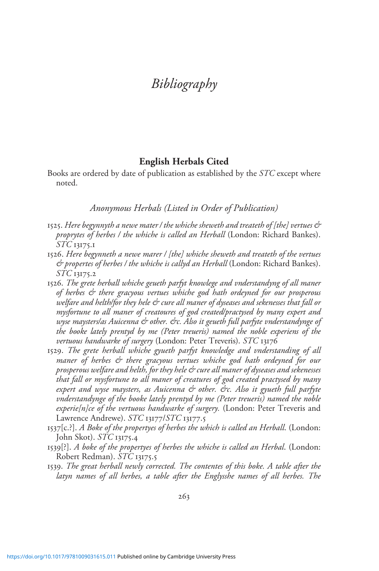# Bibliography

#### English Herbals Cited

Books are ordered by date of publication as established by the STC except where noted.

Anonymous Herbals (Listed in Order of Publication)

- 1525. Here begynnyth a newe mater / the whiche sheweth and treateth of [the] vertues  $\mathcal{\hat{C}}$ proprytes of herbes / the whiche is called an Herball (London: Richard Bankes). STC 13175.1
- 1526. Here begynneth a newe marer / [the] whiche sheweth and treateth of the vertues & propertes of herbes / the whiche is callyd an Herball (London: Richard Bankes). STC 13175.2
- 1526. The grete herball whiche geueth parfyt knowlege and vnderstandyng of all maner of herbes & there gracyous vertues whiche god hath ordeyned for our prosperous welfare and helth/for they hele & cure all maner of dyseases and sekenesses that fall or mysfortune to all maner of creatoures of god created/practysed by many expert and wyse maysters/as Auicenna & other. &c. Also it geueth full parfyte vnderstandynge of the booke lately prentyd by me (Peter treueris) named the noble experiens of the vertuous handwarke of surgery (London: Peter Treveris). STC 13176
- 1529. The grete herball whiche gyueth parfyt knowledge and vnderstanding of all maner of herbes & there gracyous vertues whiche god hath ordeyned for our prosperous welfare and helth, for they hele & cure all maner of dyseases and sekenesses that fall or mysfortune to all maner of creatures of god created practysed by many expert and wyse maysters, as Auicenna & other. &c. Also it gyueth full parfyte vnderstandynge of the booke lately prentyd by me (Peter treueris) named the noble experie[n]ce of the vertuous handwarke of surgery. (London: Peter Treveris and Lawrence Andrewe). STC 13177/STC 13177.5
- $1537[c.?]$ . A Boke of the propertyes of herbes the which is called an Herball. (London: John Skot). STC 13175.4
- 1539[?]. A boke of the propertyes of herbes the whiche is called an Herbal. (London: Robert Redman). STC 13175.5
- 1539. The great herball newly corrected. The contentes of this boke. A table after the latyn names of all herbes, a table after the Englysshe names of all herbes. The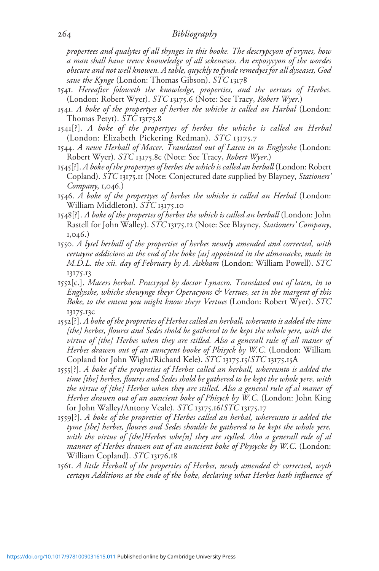propertees and qualytes of all thynges in this booke. The descrypcyon of vrynes, how a man shall haue trewe knoweledge of all sekenesses. An exposycyon of the wordes obscure and not well knowen. A table, quyckly to fynde remedyes for all dyseases, God saue the Kynge (London: Thomas Gibson). STC 13178

- 1541. Hereafter foloweth the knowledge, properties, and the vertues of Herbes. (London: Robert Wyer). STC 13175.6 (Note: See Tracy, Robert Wyer.)
- 1541. A boke of the propertyes of herbes the whiche is called an Harbal (London: Thomas Petyt). STC 13175.8
- 1541[?]. A boke of the propertyes of herbes the whiche is called an Herbal (London: Elizabeth Pickering Redman). STC 13175.7
- 1544. A newe Herball of Macer. Translated out of Laten in to Englysshe (London: Robert Wyer). STC 13175.8c (Note: See Tracy, Robert Wyer.)
- 1545[?]. A boke of the propertyes of herbes the which is called an herball (London: Robert Copland). STC 13175.11 (Note: Conjectured date supplied by Blayney, Stationers' Company, 1,046.)
- 1546. A boke of the propertyes of herbes the whiche is called an Herbal (London: William Middleton). STC 13175.10
- 1548[?]. A boke of the propertes of herbes the which is called an herball (London: John Rastell for John Walley). STC 13175.12 (Note: See Blayney, Stationers' Company, 1,046.)
- 1550. A lytel herball of the properties of herbes newely amended and corrected, with certayne addicions at the end of the boke [as] appointed in the almanacke, made in M.D.L. the xii. day of February by A. Askham (London: William Powell). STC 13175.13
- 1552[c.]. Macers herbal. Practysyd by doctor Lynacro. Translated out of laten, in to Englysshe, whiche shewynge theyr Operacyons & Vertues, set in the margent of this Boke, to the entent you might know theyr Vertues (London: Robert Wyer). STC 13175.13c
- 1552[?]. A boke of the propreties of Herbes called an herball, wherunto is added the time [the] herbes, floures and Sedes shold be gathered to be kept the whole yere, with the virtue of [the] Herbes when they are stilled. Also a generall rule of all maner of Herbes drawen out of an auncyent booke of Phisyck by W.C. (London: William Copland for John Wight/Richard Kele). STC 13175.15/STC 13175.15A
- 1555[?]. A boke of the propreties of Herbes called an herball, whereunto is added the time [the] herbes, floures and Sedes shold be gathered to be kept the whole yere, with the virtue of [the] Herbes when they are stilled. Also a general rule of al maner of Herbes drawen out of an auncient boke of Phisyck by W.C. (London: John King for John Walley/Antony Veale).  $STC$  13175.16/ $STC$  13175.17
- 1559[?]. A boke of the propreties of Herbes called an herbal, whereunto is added the tyme [the] herbes, floures and Sedes shoulde be gathered to be kept the whole yere, with the virtue of [the]Herbes whe[n] they are stylled. Also a generall rule of al manner of Herbes drawen out of an auncient boke of Physycke by W.C. (London: William Copland). STC 13176.18
- 1561. A little Herball of the properties of Herbes, newly amended & corrected, wyth certayn Additions at the ende of the boke, declaring what Herbes hath influence of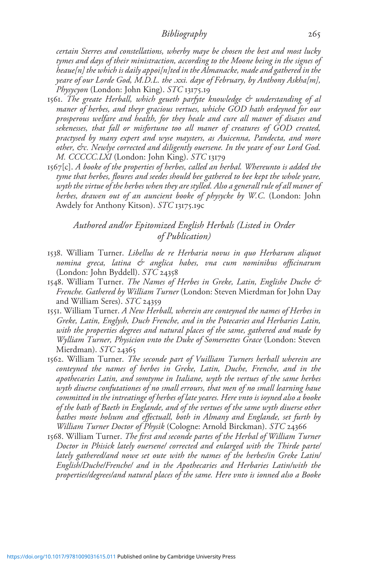certain Sterres and constellations, wherby maye be chosen the best and most lucky tymes and days of their ministraction, according to the Moone being in the signes of heaue[n] the which is daily appoi[n]ted in the Almanacke, made and gathered in the yeare of our Lorde God, M.D.L. the .xxi. daye of February, by Anthony Askha[m], Physycyon (London: John King). STC 13175.19

- 1561. The greate Herball, which geueth parfyte knowledge & understanding of al maner of herbes, and theyr gracious vertues, whiche GOD hath ordeyned for our prosperous welfare and health, for they heale and cure all maner of disases and sekenesses, that fall or misfortune too all maner of creatures of GOD created, practysed by many expert and wyse maysters, as Auicenna, Pandecta, and more other, &c. Newlye corrected and diligently ouersene. In the yeare of our Lord God. M. CCCCC.LXI (London: John King). STC 13179
- 1567[c]. A booke of the properties of herbes, called an herbal. Whereunto is added the tyme that herbes, floures and seedes should bee gathered to bee kept the whole yeare, wyth the virtue of the herbes when they are stylled. Also a generall rule of all maner of herbes, drawen out of an auncient booke of physycke by W.C. (London: John Awdely for Anthony Kitson). STC 13175.19c

Authored and/or Epitomized English Herbals (Listed in Order of Publication)

- 1538. William Turner. Libellus de re Herbaria novus in quo Herbarum aliquot nomina greca, latina & anglica habes, vna cum nominibus officinarum (London: John Byddell). STC 24358
- 1548. William Turner. The Names of Herbes in Greke, Latin, Englishe Duche & Frenche. Gathered by William Turner (London: Steven Mierdman for John Day and William Seres). STC 24359
- 1551. William Turner. A New Herball, wherein are conteyned the names of Herbes in Greke, Latin, Englysh, Duch Frenche, and in the Potecaries and Herbaries Latin, with the properties degrees and natural places of the same, gathered and made by Wylliam Turner, Physicion vnto the Duke of Somersettes Grace (London: Steven Mierdman). STC 24365
- 1562. William Turner. The seconde part of Vuilliam Turners herball wherein are conteyned the names of herbes in Greke, Latin, Duche, Frenche, and in the apothecaries Latin, and somtyme in Italiane, wyth the vertues of the same herbes wyth diuerse confutationes of no small errours, that men of no small learning haue committed in the intreatinge of herbes of late yeares. Here vnto is ioyned also a booke of the bath of Baeth in Englande, and of the vertues of the same wyth diuerse other bathes moste holsum and effectuall, both in Almany and Englande, set furth by William Turner Doctor of Physik (Cologne: Arnold Birckman). STC 24366
- 1568. William Turner. The first and seconde partes of the Herbal of William Turner Doctor in Phisick lately ouersene/ corrected and enlarged with the Thirde parte/ lately gathered/and nowe set oute with the names of the herbes/in Greke Latin/ English/Duche/Frenche/ and in the Apothecaries and Herbaries Latin/with the properties/degrees/and natural places of the same. Here vnto is ionned also a Booke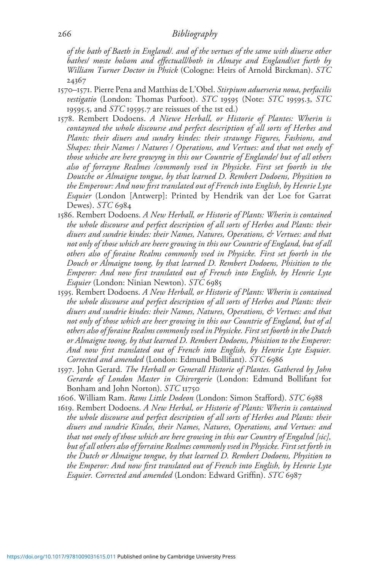#### 266 Bibliography

of the bath of Baeth in England/. and of the vertues of the same with diuerse other bathes/ moste holsom and effectuall/both in Almaye and England/set furth by William Turner Doctor in Phsick (Cologne: Heirs of Arnold Birckman). STC 24367

- 1570–1571. Pierre Pena and Matthias de L'Obel. Stirpium aduerseria noua, perfacilis vestigatio (London: Thomas Purfoot). STC 19595 (Note: STC 19595.3, STC 19595.5, and  $STC$  19595.7 are reissues of the 1st ed.)
- 1578. Rembert Dodoens. A Niewe Herball, or Historie of Plantes: Wherin is contayned the whole discourse and perfect description of all sorts of Herbes and Plants: their diuers and sundry kindes: their straunge Figures, Fashions, and Shapes: their Names / Natures / Operations, and Vertues: and that not onely of those whiche are here growyng in this our Countrie of Englande/ but of all others also of forrayne Realmes /commonly vsed in Physicke. First set foorth in the Doutche or Almaigne tongue, by that learned D. Rembert Dodoens, Physition to the Emperour: And now first translated out of French into English, by Henrie Lyte Esquier (London [Antwerp]: Printed by Hendrik van der Loe for Garrat Dewes). STC 6984
- 1586. Rembert Dodoens. A New Herball, or Historie of Plants: Wherin is contained the whole discourse and perfect description of all sorts of Herbes and Plants: their diuers and sundrie kindes: their Names, Natures, Operations, & Vertues: and that not only of those which are heere growing in this our Countrie of England, but of all others also of foraine Realms commonly vsed in Physicke. First set foorth in the Douch or Almaigne toong, by that learned D. Rembert Dodoens, Phisition to the Emperor: And now first translated out of French into English, by Henrie Lyte Esquier (London: Ninian Newton). STC 6985
- 1595. Rembert Dodoens. A New Herball, or Historie of Plants: Wherin is contained the whole discourse and perfect description of all sorts of Herbes and Plants: their diuers and sundrie kindes: their Names, Natures, Operations, & Vertues: and that not only of those which are heer growing in this our Countrie of England, but of al others also of foraine Realms commonly vsed in Physicke. First set foorth in the Dutch or Almaigne toong, by that learned D. Rembert Dodoens, Phisition to the Emperor: And now first translated out of French into English, by Henrie Lyte Esquier. Corrected and amended (London: Edmund Bollifant). STC 6986
- 1597. John Gerard. The Herball or Generall Historie of Plantes. Gathered by John Gerarde of London Master in Chirvrgerie (London: Edmund Bollifant for Bonham and John Norton). STC 11750
- 1606. William Ram. Rams Little Dodeon (London: Simon Stafford). STC 6988
- 1619. Rembert Dodoens. A New Herbal, or Historie of Plants: Wherin is contained the whole discourse and perfect description of all sorts of Herbes and Plants: their diuers and sundrie Kindes, their Names, Natures, Operations, and Vertues: and that not onely of those which are here growing in this our Country of Engalnd [sic], but of all others also of forraine Realmes commonly vsed in Physicke. First set forth in the Dutch or Almaigne tongue, by that learned D. Rembert Dodoens, Physition to the Emperor: And now first translated out of French into English, by Henrie Lyte Esquier. Corrected and amended (London: Edward Griffin). STC 6987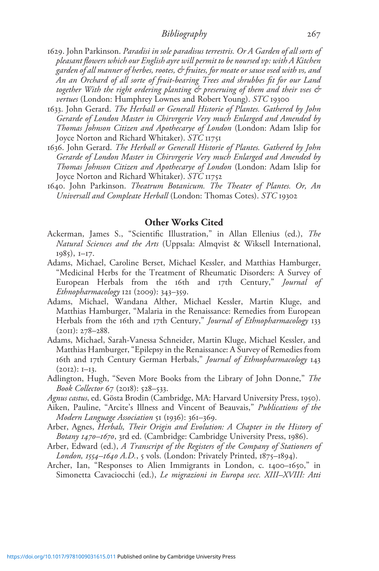- 1629. John Parkinson. Paradisi in sole paradisus terrestris. Or A Garden of all sorts of pleasant flowers which our English ayre will permit to be noursed vp: with A Kitchen garden of all manner of herbes, rootes, & fruites, for meate or sause vsed with vs, and An an Orchard of all sorte of fruit-bearing Trees and shrubbes fit for our Land together With the right ordering planting & preseruing of them and their vses & vertues (London: Humphrey Lownes and Robert Young). STC 19300
- 1633. John Gerard. The Herball or Generall Historie of Plantes. Gathered by John Gerarde of London Master in Chirvrgerie Very much Enlarged and Amended by Thomas Johnson Citizen and Apothecarye of London (London: Adam Islip for Joyce Norton and Richard Whitaker). STC 11751
- 1636. John Gerard. The Herball or Generall Historie of Plantes. Gathered by John Gerarde of London Master in Chirvrgerie Very much Enlarged and Amended by Thomas Johnson Citizen and Apothecarye of London (London: Adam Islip for Joyce Norton and Richard Whitaker). *STC* 11752
- 1640. John Parkinson. Theatrum Botanicum. The Theater of Plantes. Or, An Universall and Compleate Herball (London: Thomas Cotes). STC 19302

### Other Works Cited

- Ackerman, James S., "Scientific Illustration," in Allan Ellenius (ed.), The Natural Sciences and the Arts (Uppsala: Almqvist & Wiksell International, 1985), 1–17.
- Adams, Michael, Caroline Berset, Michael Kessler, and Matthias Hamburger, "Medicinal Herbs for the Treatment of Rheumatic Disorders: A Survey of European Herbals from the 16th and 17th Century," Journal of Ethnopharmacology 121 (2009): 343–359.
- Adams, Michael, Wandana Alther, Michael Kessler, Martin Kluge, and Matthias Hamburger, "Malaria in the Renaissance: Remedies from European Herbals from the 16th and 17th Century," *Journal of Ethnopharmacology* 133  $(20II): 278 - 288.$
- Adams, Michael, Sarah-Vanessa Schneider, Martin Kluge, Michael Kessler, and Matthias Hamburger, "Epilepsy in the Renaissance: A Survey of Remedies from 16th and 17th Century German Herbals," Journal of Ethnopharmacology 143  $(2012): I-I3.$
- Adlington, Hugh, "Seven More Books from the Library of John Donne," The Book Collector 67 (2018): 528–533.
- Agnus castus, ed. Gösta Brodin (Cambridge, MA: Harvard University Press, 1950).
- Aiken, Pauline, "Arcite's Illness and Vincent of Beauvais," Publications of the Modern Language Association 51 (1936): 361–369.
- Arber, Agnes, Herbals, Their Origin and Evolution: A Chapter in the History of Botany 1470–1670, 3rd ed. (Cambridge: Cambridge University Press, 1986).
- Arber, Edward (ed.), A Transcript of the Registers of the Company of Stationers of London, 1554–1640 A.D., 5 vols. (London: Privately Printed, 1875–1894).
- Archer, Ian, "Responses to Alien Immigrants in London, c. 1400–1650," in Simonetta Cavaciocchi (ed.), Le migrazioni in Europa secc. XIII–XVIII: Atti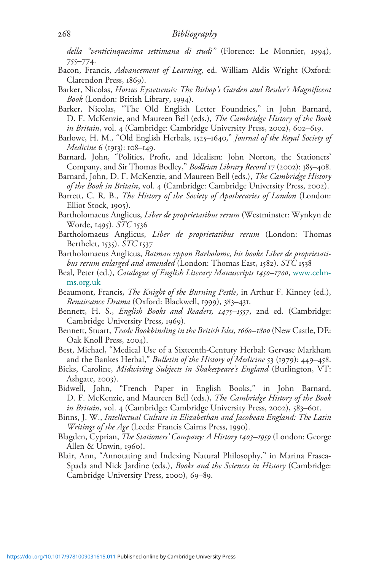della "venticinquesima settimana di studi" (Florence: Le Monnier, 1994), 755–774.

- Bacon, Francis, Advancement of Learning, ed. William Aldis Wright (Oxford: Clarendon Press, 1869).
- Barker, Nicolas, Hortus Eystettensis: The Bishop's Garden and Bessler's Magnificent Book (London: British Library, 1994).
- Barker, Nicolas, "The Old English Letter Foundries," in John Barnard, D. F. McKenzie, and Maureen Bell (eds.), The Cambridge History of the Book in Britain, vol. 4 (Cambridge: Cambridge University Press, 2002), 602–619.
- Barlowe, H. M., "Old English Herbals, 1525–1640," *Journal of the Royal Society of* Medicine 6 (1913): 108–149.
- Barnard, John, "Politics, Profit, and Idealism: John Norton, the Stationers' Company, and Sir Thomas Bodley," Bodleian Library Record 17 (2002): 385–408.
- Barnard, John, D. F. McKenzie, and Maureen Bell (eds.), The Cambridge History of the Book in Britain, vol. 4 (Cambridge: Cambridge University Press, 2002).
- Barrett, C. R. B., *The History of the Society of Apothecaries of London* (London: Elliot Stock, 1905).
- Bartholomaeus Anglicus, Liber de proprietatibus rerum (Westminster: Wynkyn de Worde, 1495). STC 1536
- Bartholomaeus Anglicus, Liber de proprietatibus rerum (London: Thomas Berthelet, 1535). STC 1537
- Bartholomaeus Anglicus, Batman vppon Barholome, his booke Liber de proprietatibus rerum enlarged and amended (London: Thomas East, 1582). STC 1538
- Beal, Peter (ed.), *Catalogue of English Literary Manuscripts 1450–1700*, [www.celm](http://www.celm-ms.org.uk)[ms.org.uk](http://www.celm-ms.org.uk)
- Beaumont, Francis, *The Knight of the Burning Pestle*, in Arthur F. Kinney (ed.), Renaissance Drama (Oxford: Blackwell, 1999), 383–431.
- Bennett, H. S., English Books and Readers, 1475-1557, 2nd ed. (Cambridge: Cambridge University Press, 1969).
- Bennett, Stuart, Trade Bookbinding in the British Isles, 1660-1800 (New Castle, DE: Oak Knoll Press, 2004).
- Best, Michael, "Medical Use of a Sixteenth-Century Herbal: Gervase Markham and the Bankes Herbal," Bulletin of the History of Medicine 53 (1979): 449–458.
- Bicks, Caroline, Midwiving Subjects in Shakespeare's England (Burlington, VT: Ashgate, 2003).
- Bidwell, John, "French Paper in English Books," in John Barnard, D. F. McKenzie, and Maureen Bell (eds.), The Cambridge History of the Book in Britain, vol. 4 (Cambridge: Cambridge University Press, 2002), 583–601.
- Binns, J. W., Intellectual Culture in Elizabethan and Jacobean England: The Latin Writings of the Age (Leeds: Francis Cairns Press, 1990).
- Blagden, Cyprian, The Stationers' Company: A History 1403–1959 (London: George Allen & Unwin, 1960).
- Blair, Ann, "Annotating and Indexing Natural Philosophy," in Marina Frasca-Spada and Nick Jardine (eds.), Books and the Sciences in History (Cambridge: Cambridge University Press, 2000), 69–89.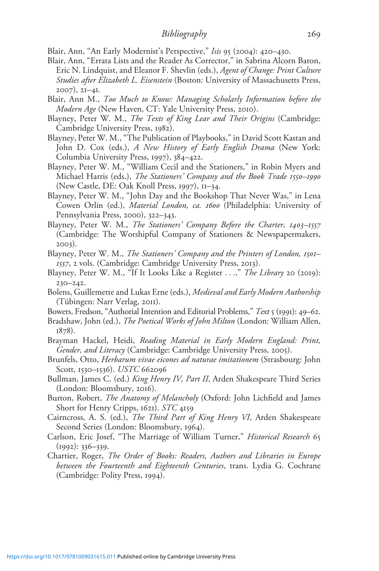Blair, Ann, "An Early Modernist's Perspective," Isis 95 (2004): 420–430.

- Blair, Ann, "Errata Lists and the Reader As Corrector," in Sabrina Alcorn Baron, Eric N. Lindquist, and Eleanor F. Shevlin (eds.), Agent of Change: Print Culture Studies after Elizabeth L. Eisenstein (Boston: University of Massachusetts Press, 2007), 21–41.
- Blair, Ann M., Too Much to Know: Managing Scholarly Information before the Modern Age (New Haven, CT: Yale University Press, 2010).
- Blayney, Peter W. M., The Texts of King Lear and Their Origins (Cambridge: Cambridge University Press, 1982).
- Blayney, Peter W. M., "The Publication of Playbooks," in David Scott Kastan and John D. Cox (eds.), A New History of Early English Drama (New York: Columbia University Press, 1997), 384–422.
- Blayney, Peter W. M., "William Cecil and the Stationers," in Robin Myers and Michael Harris (eds.), The Stationers' Company and the Book Trade 1550–1990 (New Castle, DE: Oak Knoll Press, 1997), 11–34.
- Blayney, Peter W. M., "John Day and the Bookshop That Never Was," in Lena Cowen Orlin (ed.), Material London, ca. 1600 (Philadelphia: University of Pennsylvania Press, 2000), 322–343.
- Blayney, Peter W. M., The Stationers' Company Before the Charter, 1403–1557 (Cambridge: The Worshipful Company of Stationers & Newspapermakers, 2003).
- Blayney, Peter W. M., The Stationers' Company and the Printers of London, 1501– 1557, 2 vols. (Cambridge: Cambridge University Press, 2013).
- Blayney, Peter W. M., "If It Looks Like a Register ...," The Library 20 (2019): 230–242.
- Bolens, Guillemette and Lukas Erne (eds.), Medieval and Early Modern Authorship (Tübingen: Narr Verlag, 2011).
- Bowers, Fredson, "Authorial Intention and Editorial Problems," Text 5 (1991): 49–62.
- Bradshaw, John (ed.), The Poetical Works of John Milton (London: William Allen, 1878).
- Brayman Hackel, Heidi, Reading Material in Early Modern England: Print, Gender, and Literacy (Cambridge: Cambridge University Press, 2005).
- Brunfels, Otto, Herbarum vivae eicones ad naturae imitationem (Strasbourg: John Scott, 1530–1536). USTC 662096
- Bullman, James C. (ed.) *King Henry IV, Part II*, Arden Shakespeare Third Series (London: Bloomsbury, 2016).
- Burton, Robert, The Anatomy of Melancholy (Oxford: John Lichfield and James Short for Henry Cripps, 1621). STC 4159
- Cairncross, A. S. (ed.), The Third Part of King Henry VI, Arden Shakespeare Second Series (London: Bloomsbury, 1964).
- Carlson, Eric Josef, "The Marriage of William Turner," Historical Research 65 (1992): 336–339.
- Chartier, Roger, The Order of Books: Readers, Authors and Libraries in Europe between the Fourteenth and Eighteenth Centuries, trans. Lydia G. Cochrane (Cambridge: Polity Press, 1994).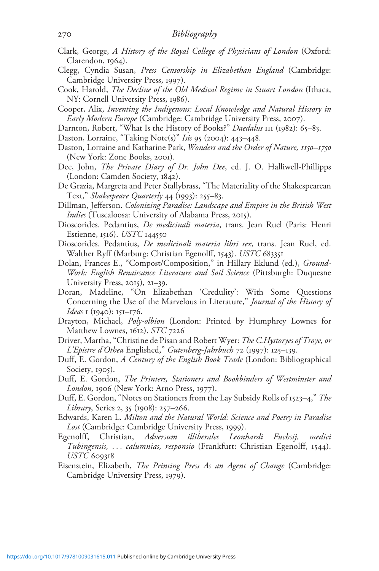- Clark, George, A History of the Royal College of Physicians of London (Oxford: Clarendon, 1964).
- Clegg, Cyndia Susan, Press Censorship in Elizabethan England (Cambridge: Cambridge University Press, 1997).
- Cook, Harold, The Decline of the Old Medical Regime in Stuart London (Ithaca, NY: Cornell University Press, 1986).
- Cooper, Alix, Inventing the Indigenous: Local Knowledge and Natural History in Early Modern Europe (Cambridge: Cambridge University Press, 2007).
- Darnton, Robert, "What Is the History of Books?" Daedalus III (1982): 65-83.
- Daston, Lorraine, "Taking Note(s)" Isis 95 (2004): 443–448.
- Daston, Lorraine and Katharine Park, Wonders and the Order of Nature, 1150-1750 (New York: Zone Books, 2001).
- Dee, John, The Private Diary of Dr. John Dee, ed. J. O. Halliwell-Phillipps (London: Camden Society, 1842).
- De Grazia, Margreta and Peter Stallybrass, "The Materiality of the Shakespearean Text," Shakespeare Quarterly 44 (1993): 255–83.
- Dillman, Jefferson. Colonizing Paradise: Landscape and Empire in the British West Indies (Tuscaloosa: University of Alabama Press, 2015).
- Dioscorides. Pedantius, *De medicinali materia*, trans. Jean Ruel (Paris: Henri Estienne, 1516). USTC 144550
- Dioscorides. Pedantius, De medicinali materia libri sex, trans. Jean Ruel, ed. Walther Ryff (Marburg: Christian Egenolff, 1543). USTC 683351
- Dolan, Frances E., "Compost/Composition," in Hillary Eklund (ed.), Ground-Work: English Renaissance Literature and Soil Science (Pittsburgh: Duquesne University Press, 2015), 21–39.
- Doran, Madeline, "On Elizabethan 'Credulity': With Some Questions Concerning the Use of the Marvelous in Literature," Journal of the History of Ideas 1 (1940): 151–176.
- Drayton, Michael, Poly-olbion (London: Printed by Humphrey Lownes for Matthew Lownes, 1612). STC 7226
- Driver, Martha, "Christine de Pisan and Robert Wyer: The C.Hystoryes of Troye, or L'Epistre d'Othea Englished," Gutenberg-Jahrbuch 72 (1997): 125–139.
- Duff, E. Gordon, A Century of the English Book Trade (London: Bibliographical Society, 1905).
- Duff, E. Gordon, The Printers, Stationers and Bookbinders of Westminster and London, 1906 (New York: Arno Press, 1977).
- Duff, E. Gordon, "Notes on Stationers from the Lay Subsidy Rolls of 1523–4," The Library, Series 2, 35 (1908): 257–266.
- Edwards, Karen L. Milton and the Natural World: Science and Poetry in Paradise Lost (Cambridge: Cambridge University Press, 1999).
- Egenolff, Christian, Adversum illiberales Leonhardi Fuchsij, medici Tubingensis, ... calumnias, responsio (Frankfurt: Christian Egenolff, 1544). USTC 609318
- Eisenstein, Elizabeth, The Printing Press As an Agent of Change (Cambridge: Cambridge University Press, 1979).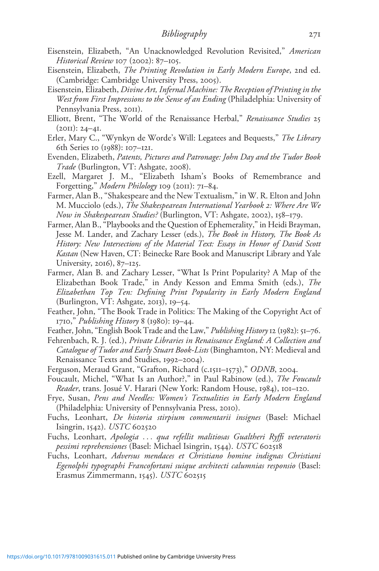- Eisenstein, Elizabeth, "An Unacknowledged Revolution Revisited," American Historical Review 107 (2002): 87–105.
- Eisenstein, Elizabeth, The Printing Revolution in Early Modern Europe, 2nd ed. (Cambridge: Cambridge University Press, 2005).
- Eisenstein, Elizabeth, Divine Art, Infernal Machine: The Reception of Printing in the West from First Impressions to the Sense of an Ending (Philadelphia: University of Pennsylvania Press, 2011).
- Elliott, Brent, "The World of the Renaissance Herbal," Renaissance Studies 25  $(2OII): 24-4I.$
- Erler, Mary C., "Wynkyn de Worde's Will: Legatees and Bequests," The Library 6th Series 10 (1988): 107–121.
- Evenden, Elizabeth, Patents, Pictures and Patronage: John Day and the Tudor Book Trade (Burlington, VT: Ashgate, 2008).
- Ezell, Margaret J. M., "Elizabeth Isham's Books of Remembrance and Forgetting," Modern Philology 109 (2011): 71–84.
- Farmer, Alan B., "Shakespeare and the New Textualism," in W. R. Elton and John M. Mucciolo (eds.), The Shakespearean International Yearbook 2: Where Are We Now in Shakespearean Studies? (Burlington, VT: Ashgate, 2002), 158–179.
- Farmer, Alan B., "Playbooks and the Question of Ephemerality," in Heidi Brayman, Jesse M. Lander, and Zachary Lesser (eds.), The Book in History, The Book As History: New Intersections of the Material Text: Essays in Honor of David Scott Kastan (New Haven, CT: Beinecke Rare Book and Manuscript Library and Yale University, 2016), 87–125.
- Farmer, Alan B. and Zachary Lesser, "What Is Print Popularity? A Map of the Elizabethan Book Trade," in Andy Kesson and Emma Smith (eds.), The Elizabethan Top Ten: Defining Print Popularity in Early Modern England (Burlington, VT: Ashgate, 2013), 19–54.
- Feather, John, "The Book Trade in Politics: The Making of the Copyright Act of 1710," Publishing History 8 (1980): 19–44.
- Feather, John, "English Book Trade and the Law," Publishing History 12 (1982): 51–76.
- Fehrenbach, R. J. (ed.), Private Libraries in Renaissance England: A Collection and Catalogue of Tudor and Early Stuart Book-Lists (Binghamton, NY: Medieval and Renaissance Texts and Studies, 1992–2004).
- Ferguson, Meraud Grant, "Grafton, Richard (c.1511–1573)," ODNB, 2004.
- Foucault, Michel, "What Is an Author?," in Paul Rabinow (ed.), The Foucault Reader, trans. Josué V. Harari (New York: Random House, 1984), 101–120.
- Frye, Susan, Pens and Needles: Women's Textualities in Early Modern England (Philadelphia: University of Pennsylvania Press, 2010).
- Fuchs, Leonhart, De historia stirpium commentarii insignes (Basel: Michael Isingrin, 1542). USTC 602520
- Fuchs, Leonhart, Apologia ... qua refellit malitiosas Gualtheri Ryffi veteratoris pessimi reprehensiones (Basel: Michael Isingrin, 1544). USTC 602518
- Fuchs, Leonhart, Adversus mendaces et Christiano homine indignas Christiani Egenolphi typographi Francofortani suique architecti calumnias responsio (Basel: Erasmus Zimmermann, 1545). USTC 602515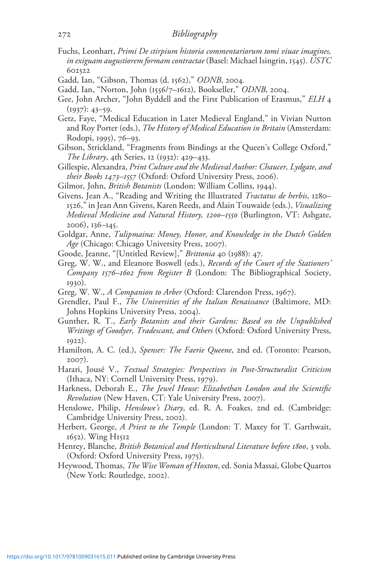## 272 Bibliography

- Fuchs, Leonhart, Primi De stirpium historia commentariorum tomi viuae imagines, in exiguam augustiorem formam contractae (Basel: Michael Isingrin, 1545). USTC 602522
- Gadd, Ian, "Gibson, Thomas (d. 1562)," ODNB, 2004.
- Gadd, Ian, "Norton, John (1556/7–1612), Bookseller," ODNB, 2004.
- Gee, John Archer, "John Byddell and the First Publication of Erasmus," ELH 4 (1937): 43–59.
- Getz, Faye, "Medical Education in Later Medieval England," in Vivian Nutton and Roy Porter (eds.), The History of Medical Education in Britain (Amsterdam: Rodopi, 1995), 76–93.
- Gibson, Strickland, "Fragments from Bindings at the Queen's College Oxford," The Library, 4th Series, 12 (1932): 429–433.
- Gillespie, Alexandra, Print Culture and the Medieval Author: Chaucer, Lydgate, and their Books 1473–1557 (Oxford: Oxford University Press, 2006).
- Gilmor, John, British Botanists (London: William Collins, 1944).
- Givens, Jean A., "Reading and Writing the Illustrated Tractatus de herbis, 1280– 1526," in Jean Ann Givens, Karen Reeds, and Alain Touwaide (eds.), Visualizing Medieval Medicine and Natural History, 1200–1550 (Burlington, VT: Ashgate, 2006), 136–145.
- Goldgar, Anne, Tulipmaina: Money, Honor, and Knowledge in the Dutch Golden Age (Chicago: Chicago University Press, 2007).
- Goode, Jeanne, "[Untitled Review]," Brittonia 40 (1988): 47.
- Greg, W. W., and Eleanore Boswell (eds.), Records of the Court of the Stationers' Company 1576–1602 from Register B (London: The Bibliographical Society, 1930).
- Greg, W. W., A Companion to Arber (Oxford: Clarendon Press, 1967).
- Grendler, Paul F., The Universities of the Italian Renaissance (Baltimore, MD: Johns Hopkins University Press, 2004).
- Gunther, R. T., Early Botanists and their Gardens: Based on the Unpublished Writings of Goodyer, Tradescant, and Others (Oxford: Oxford University Press, 1922).
- Hamilton, A. C. (ed.), Spenser: The Faerie Queene, 2nd ed. (Toronto: Pearson, 2007).
- Harari, Jousé V., Textual Strategies: Perspectives in Post-Structuralist Criticism (Ithaca, NY: Cornell University Press, 1979).
- Harkness, Deborah E., The Jewel House: Elizabethan London and the Scientific Revolution (New Haven, CT: Yale University Press, 2007).
- Henslowe, Philip, *Henslowe's Diary*, ed. R. A. Foakes, 2nd ed. (Cambridge: Cambridge University Press, 2002).
- Herbert, George, *A Priest to the Temple* (London: T. Maxey for T. Garthwait, 1652). Wing H1512
- Henrey, Blanche, British Botanical and Horticultural Literature before 1800, 3 vols. (Oxford: Oxford University Press, 1975).
- Heywood, Thomas, The Wise Woman of Hoxton, ed. Sonia Massai, Globe Quartos (New York: Routledge, 2002).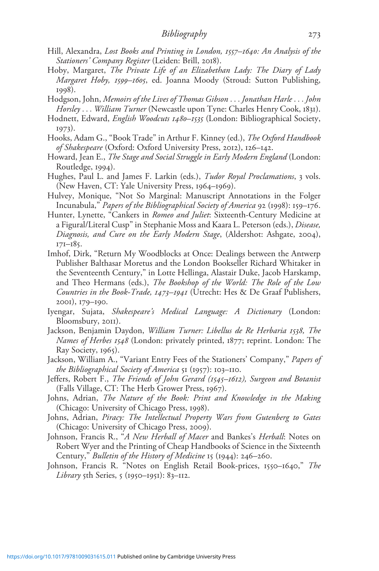- Hill, Alexandra, Lost Books and Printing in London, 1557–1640: An Analysis of the Stationers' Company Register (Leiden: Brill, 2018).
- Hoby, Margaret, The Private Life of an Elizabethan Lady: The Diary of Lady Margaret Hoby, 1599–1605, ed. Joanna Moody (Stroud: Sutton Publishing, 1998).
- Hodgson, John, Memoirs of the Lives of Thomas Gibson ... Jonathan Harle ... John Horsley ... William Turner (Newcastle upon Tyne: Charles Henry Cook, 1831).
- Hodnett, Edward, *English Woodcuts 1480–1535* (London: Bibliographical Society, 1973).
- Hooks, Adam G., "Book Trade" in Arthur F. Kinney (ed.), The Oxford Handbook of Shakespeare (Oxford: Oxford University Press, 2012), 126–142.
- Howard, Jean E., The Stage and Social Struggle in Early Modern England (London: Routledge, 1994).
- Hughes, Paul L. and James F. Larkin (eds.), *Tudor Royal Proclamations*, 3 vols. (New Haven, CT: Yale University Press, 1964–1969).
- Hulvey, Monique, "Not So Marginal: Manuscript Annotations in the Folger Incunabula," Papers of the Bibliographical Society of America 92 (1998): 159–176.
- Hunter, Lynette, "Cankers in Romeo and Juliet: Sixteenth-Century Medicine at a Figural/Literal Cusp" in Stephanie Moss and Kaara L. Peterson (eds.), Disease, Diagnosis, and Cure on the Early Modern Stage, (Aldershot: Ashgate, 2004), 171–185.
- Imhof, Dirk, "Return My Woodblocks at Once: Dealings between the Antwerp Publisher Balthasar Moretus and the London Bookseller Richard Whitaker in the Seventeenth Century," in Lotte Hellinga, Alastair Duke, Jacob Harskamp, and Theo Hermans (eds.), The Bookshop of the World: The Role of the Low Countries in the Book-Trade, 1473–1941 (Utrecht: Hes & De Graaf Publishers, 2001), 179–190.
- Iyengar, Sujata, Shakespeare's Medical Language: A Dictionary (London: Bloomsbury, 2011).
- Jackson, Benjamin Daydon, William Turner: Libellus de Re Herbaria 1538, The Names of Herbes 1548 (London: privately printed, 1877; reprint. London: The Ray Society, 1965).
- Jackson, William A., "Variant Entry Fees of the Stationers' Company," Papers of the Bibliographical Society of America 51 (1957): 103–110.
- Jeffers, Robert F., The Friends of John Gerard (1545–1612), Surgeon and Botanist (Falls Village, CT: The Herb Grower Press, 1967).
- Johns, Adrian, The Nature of the Book: Print and Knowledge in the Making (Chicago: University of Chicago Press, 1998).
- Johns, Adrian, Piracy: The Intellectual Property Wars from Gutenberg to Gates (Chicago: University of Chicago Press, 2009).
- Johnson, Francis R., "A New Herball of Macer and Bankes's Herball: Notes on Robert Wyer and the Printing of Cheap Handbooks of Science in the Sixteenth Century," Bulletin of the History of Medicine 15 (1944): 246–260.
- Johnson, Francis R. "Notes on English Retail Book-prices, 1550–1640," The *Library* 5th Series, 5 (1950–1951): 83–112.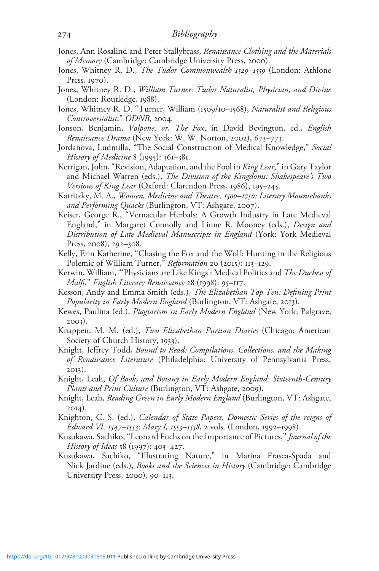- Jones, Ann Rosalind and Peter Stallybrass, Renaissance Clothing and the Materials of Memory (Cambridge: Cambridge University Press, 2000).
- Jones, Whitney R. D., The Tudor Commonwealth 1529–1559 (London: Athlone Press, 1970).
- Jones, Whitney R. D., William Turner: Tudor Naturalist, Physician, and Divine (London: Routledge, 1988).
- Jones, Whitney R. D. "Turner, William (1509/10–1568), Naturalist and Religious Controversialist," ODNB, 2004.
- Jonson, Benjamin, Volpone, or, The Fox, in David Bevington, ed., English Renaissance Drama (New York: W. W. Norton, 2002), 673–773.
- Jordanova, Ludmilla, "The Social Construction of Medical Knowledge," Social History of Medicine 8 (1995): 361–381.
- Kerrigan, John, "Revision, Adaptation, and the Fool in *King Lear*," in Gary Taylor and Michael Warren (eds.), The Division of the Kingdoms: Shakespeare's Two Versions of King Lear (Oxford: Clarendon Press, 1986), 195–245.
- Katritzky, M. A., Women, Medicine and Theatre, 1500–1750: Literary Mountebanks and Performing Quacks (Burlington, VT: Ashgate, 2007).
- Keiser, George R., "Vernacular Herbals: A Growth Industry in Late Medieval England," in Margaret Connolly and Linne R. Mooney (eds.), *Design and* Distribution of Late Medieval Manuscripts in England (York: York Medieval Press, 2008), 292–308.
- Kelly, Erin Katherine, "Chasing the Fox and the Wolf: Hunting in the Religious Polemic of William Turner," Reformation 20 (2015): 113-129.
- Kerwin, William, "'Physicians are Like Kings': Medical Politics and The Duchess of Malfi," English Literary Renaissance 28 (1998): 95–117.
- Kesson, Andy and Emma Smith (eds.), The Elizabethan Top Ten: Defining Print Popularity in Early Modern England (Burlington, VT: Ashgate, 2013).
- Kewes, Paulina (ed.), *Plagiarism in Early Modern England* (New York: Palgrave, 2003).
- Knappen, M. M. (ed.), Two Elizabethan Puritan Diaries (Chicago: American Society of Church History, 1933).
- Knight, Jeffrey Todd, Bound to Read: Compilations, Collections, and the Making of Renaissance Literature (Philadelphia: University of Pennsylvania Press, 2013).
- Knight, Leah, Of Books and Botany in Early Modern England: Sixteenth-Century Plants and Print Culture (Burlington, VT: Ashgate, 2009).
- Knight, Leah, Reading Green in Early Modern England (Burlington, VT: Ashgate, 2014).
- Knighton, C. S. (ed.), Calendar of State Papers, Domestic Series of the reigns of Edward VI, 1547–1553; Mary I, 1553–1558, 2 vols. (London, 1992–1998).
- Kusukawa, Sachiko, "Leonard Fuchs on the Importance of Pictures," Journal of the History of Ideas 58 (1997): 403–427.
- Kusukawa, Sachiko, "Illustrating Nature," in Marina Frasca-Spada and Nick Jardine (eds.), *Books and the Sciences in History* (Cambridge: Cambridge University Press, 2000), 90–113.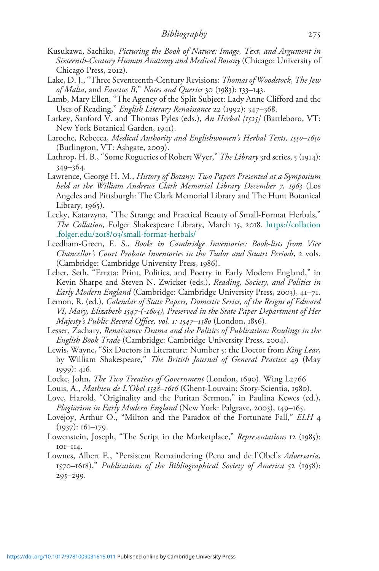- Kusukawa, Sachiko, Picturing the Book of Nature: Image, Text, and Argument in Sixteenth-Century Human Anatomy and Medical Botany (Chicago: University of Chicago Press, 2012).
- Lake, D. J., "Three Seventeenth-Century Revisions: Thomas of Woodstock, The Jew of Malta, and Faustus B," Notes and Queries 30 (1983): 133–143.
- Lamb, Mary Ellen, "The Agency of the Split Subject: Lady Anne Clifford and the Uses of Reading," English Literary Renaissance 22 (1992): 347–368.
- Larkey, Sanford V. and Thomas Pyles (eds.), An Herbal [1525] (Battleboro, VT: New York Botanical Garden, 1941).
- Laroche, Rebecca, Medical Authority and Englishwomen's Herbal Texts, 1550–1650 (Burlington, VT: Ashgate, 2009).
- Lathrop, H. B., "Some Rogueries of Robert Wyer," The Library 3rd series, 5 (1914): 349–364.
- Lawrence, George H. M., History of Botany: Two Papers Presented at a Symposium held at the William Andrews Clark Memorial Library December 7, 1963 (Los Angeles and Pittsburgh: The Clark Memorial Library and The Hunt Botanical Library, 1965).
- Lecky, Katarzyna, "The Strange and Practical Beauty of Small-Format Herbals," The Collation, Folger Shakespeare Library, March 15, 2018. [https://collation](https://collation.folger.edu/2018/03/small-format-herbals/) .folger.edu/2018/03[/small-format-herbals/](https://collation.folger.edu/2018/03/small-format-herbals/)
- Leedham-Green, E. S., Books in Cambridge Inventories: Book-lists from Vice Chancellor's Court Probate Inventories in the Tudor and Stuart Periods, 2 vols. (Cambridge: Cambridge University Press, 1986).
- Leher, Seth, "Errata: Print, Politics, and Poetry in Early Modern England," in Kevin Sharpe and Steven N. Zwicker (eds.), Reading, Society, and Politics in Early Modern England (Cambridge: Cambridge University Press, 2003), 41–71.
- Lemon, R. (ed.), Calendar of State Papers, Domestic Series, of the Reigns of Edward VI, Mary, Elizabeth 1547-(-1603), Preserved in the State Paper Department of Her Majesty's Public Record Office, vol. 1: 1547–1580 (London, 1856).
- Lesser, Zachary, Renaissance Drama and the Politics of Publication: Readings in the English Book Trade (Cambridge: Cambridge University Press, 2004).
- Lewis, Wayne, "Six Doctors in Literature: Number 5: the Doctor from King Lear, by William Shakespeare," The British Journal of General Practice 49 (May 1999): 416.
- Locke, John, The Two Treatises of Government (London, 1690). Wing L2766
- Louis, A., Mathieu de L'Obel 1538-1616 (Ghent-Louvain: Story-Scientia, 1980).
- Love, Harold, "Originality and the Puritan Sermon," in Paulina Kewes (ed.), Plagiarism in Early Modern England (New York: Palgrave, 2003), 149–165.
- Lovejoy, Arthur O., "Milton and the Paradox of the Fortunate Fall," ELH 4 (1937): 161–179.
- Lowenstein, Joseph, "The Script in the Marketplace," Representations 12 (1985): 101–114.
- Lownes, Albert E., "Persistent Remaindering (Pena and de l'Obel's Adversaria, 1570–1618)," Publications of the Bibliographical Society of America 52 (1958): 295–299.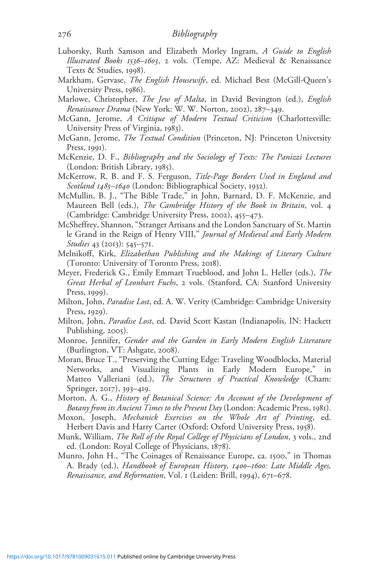- Luborsky, Ruth Samson and Elizabeth Morley Ingram, A Guide to English Illustrated Books 1536–1603, 2 vols. (Tempe, AZ: Medieval & Renaissance Texts & Studies, 1998).
- Markham, Gervase, *The English Housewife*, ed. Michael Best (McGill-Queen's University Press, 1986).
- Marlowe, Christopher, The Jew of Malta, in David Bevington (ed.), English Renaissance Drama (New York: W. W. Norton, 2002), 287-349.
- McGann, Jerome, A Critique of Modern Textual Criticism (Charlottesville: University Press of Virginia, 1983).
- McGann, Jerome, *The Textual Condition* (Princeton, NJ: Princeton University Press, 1991).
- McKenzie, D. F., Bibliography and the Sociology of Texts: The Panizzi Lectures (London: British Library, 1985).
- McKerrow, R. B. and F. S. Ferguson, Title-Page Borders Used in England and Scotland 1485-1640 (London: Bibliographical Society, 1932).
- McMullin, B. J., "The Bible Trade," in John, Barnard, D. F. McKenzie, and Maureen Bell (eds.), The Cambridge History of the Book in Britain, vol. 4 (Cambridge: Cambridge University Press, 2002), 455–473.
- McSheffrey, Shannon, "Stranger Artisans and the London Sanctuary of St. Martin le Grand in the Reign of Henry VIII," Journal of Medieval and Early Modern Studies 43 (2013): 545–571.
- Melnikoff, Kirk, Elizabethan Publishing and the Makings of Literary Culture (Toronto: University of Toronto Press, 2018).
- Meyer, Frederick G., Emily Emmart Trueblood, and John L. Heller (eds.), The Great Herbal of Leonhart Fuchs, 2 vols. (Stanford, CA: Stanford University Press, 1999).
- Milton, John, *Paradise Lost*, ed. A. W. Verity (Cambridge: Cambridge University Press, 1929).
- Milton, John, Paradise Lost, ed. David Scott Kastan (Indianapolis, IN: Hackett Publishing, 2005).
- Monroe, Jennifer, Gender and the Garden in Early Modern English Literature (Burlington, VT: Ashgate, 2008).
- Moran, Bruce T., "Preserving the Cutting Edge: Traveling Woodblocks, Material Networks, and Visualizing Plants in Early Modern Europe," in Matteo Valleriani (ed.), *The Structures of Practical Knowledge* (Cham: Springer, 2017), 393–419.
- Morton, A. G., History of Botanical Science: An Account of the Development of Botany from its Ancient Times to the Present Day (London: Academic Press, 1981).
- Moxon, Joseph, Mechanick Exercises on the Whole Art of Printing, ed. Herbert Davis and Harry Carter (Oxford: Oxford University Press, 1958).
- Munk, William, The Roll of the Royal College of Physicians of London, 3 vols., 2nd ed. (London: Royal College of Physicians, 1878).
- Munro, John H., "The Coinages of Renaissance Europe, ca. 1500," in Thomas A. Brady (ed.), Handbook of European History, 1400-1600: Late Middle Ages, Renaissance, and Reformation, Vol. 1 (Leiden: Brill, 1994), 671–678.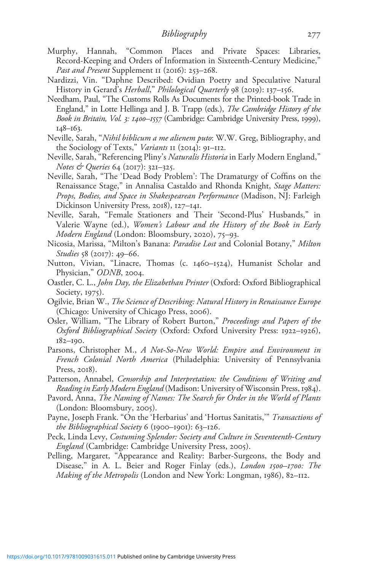- Murphy, Hannah, "Common Places and Private Spaces: Libraries, Record-Keeping and Orders of Information in Sixteenth-Century Medicine," Past and Present Supplement II (2016): 253-268.
- Nardizzi, Vin. "Daphne Described: Ovidian Poetry and Speculative Natural History in Gerard's *Herball*," *Philological Quarterly* 98 (2019): 137–156.
- Needham, Paul, "The Customs Rolls As Documents for the Printed-book Trade in England," in Lotte Hellinga and J. B. Trapp (eds.), The Cambridge History of the Book in Britain, Vol. 3: 1400–1557 (Cambridge: Cambridge University Press, 1999), 148–163.
- Neville, Sarah, "Nihil biblicum a me alienem puto: W.W. Greg, Bibliography, and the Sociology of Texts," Variants II (2014): 91-II2.
- Neville, Sarah, "Referencing Pliny's Naturalis Historia in Early Modern England," Notes & Queries 64 (2017): 321–325.
- Neville, Sarah, "The 'Dead Body Problem': The Dramaturgy of Coffins on the Renaissance Stage," in Annalisa Castaldo and Rhonda Knight, Stage Matters: Props, Bodies, and Space in Shakespearean Performance (Madison, NJ: Farleigh Dickinson University Press, 2018), 127–141.
- Neville, Sarah, "Female Stationers and Their 'Second-Plus' Husbands," in Valerie Wayne (ed.), Women's Labour and the History of the Book in Early Modern England (London: Bloomsbury, 2020), 75–93.
- Nicosia, Marissa, "Milton's Banana: Paradise Lost and Colonial Botany," Milton Studies 58 (2017): 49–66.
- Nutton, Vivian, "Linacre, Thomas (c. 1460–1524), Humanist Scholar and Physician," ODNB, 2004.
- Oastler, C. L., John Day, the Elizabethan Printer (Oxford: Oxford Bibliographical Society, 1975).
- Ogilvie, Brian W., The Science of Describing: Natural History in Renaissance Europe (Chicago: University of Chicago Press, 2006).
- Osler, William, "The Library of Robert Burton," Proceedings and Papers of the Oxford Bibliographical Society (Oxford: Oxford University Press: 1922–1926), 182–190.
- Parsons, Christopher M., A Not-So-New World: Empire and Environment in French Colonial North America (Philadelphia: University of Pennsylvania Press, 2018).
- Patterson, Annabel, Censorship and Interpretation: the Conditions of Writing and Reading in Early Modern England (Madison: University of Wisconsin Press, 1984).
- Pavord, Anna, The Naming of Names: The Search for Order in the World of Plants (London: Bloomsbury, 2005).
- Payne, Joseph Frank. "On the 'Herbarius' and 'Hortus Sanitatis," Transactions of the Bibliographical Society 6 (1900–1901): 63–126.
- Peck, Linda Levy, Costuming Splendor: Society and Culture in Seventeenth-Century England (Cambridge: Cambridge University Press, 2005).
- Pelling, Margaret, "Appearance and Reality: Barber-Surgeons, the Body and Disease," in A. L. Beier and Roger Finlay (eds.), London 1500-1700: The Making of the Metropolis (London and New York: Longman, 1986), 82–112.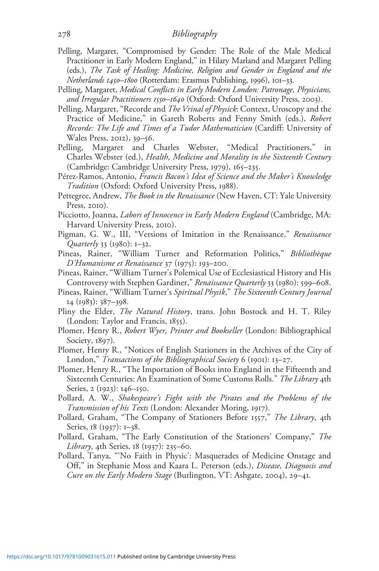- Pelling, Margaret, "Compromised by Gender: The Role of the Male Medical Practitioner in Early Modern England," in Hilary Marland and Margaret Pelling (eds.), The Task of Healing: Medicine, Religion and Gender in England and the Netherlands 1450–1800 (Rotterdam: Erasmus Publishing, 1996), 101–33.
- Pelling, Margaret, Medical Conflicts in Early Modern London: Patronage, Physicians, and Irregular Practitioners 1550–1640 (Oxford: Oxford University Press, 2003).
- Pelling, Margaret, "Recorde and *The Vrinal of Physick*: Context, Uroscopy and the Practice of Medicine," in Gareth Roberts and Fenny Smith (eds.), Robert Recorde: The Life and Times of a Tudor Mathematician (Cardiff: University of Wales Press, 2012), 39–56.
- Pelling, Margaret and Charles Webster, "Medical Practitioners," in Charles Webster (ed.), Health, Medicine and Morality in the Sixteenth Century (Cambridge: Cambridge University Press, 1979), 165–235.
- Pérez-Ramos, Antonio, Francis Bacon's Idea of Science and the Maker's Knowledge Tradition (Oxford: Oxford University Press, 1988).
- Pettegree, Andrew, *The Book in the Renaissance* (New Haven, CT: Yale University Press, 2010).
- Picciotto, Joanna, Labors of Innocence in Early Modern England (Cambridge, MA: Harvard University Press, 2010).
- Pigman, G. W., III, "Versions of Imitation in the Renaissance," Renaissance Quarterly 33 (1980): 1–32.
- Pineas, Rainer, "William Turner and Reformation Politics," Bibliothèque D'Humanisme et Renaissance 37 (1975): 193–200.
- Pineas, Rainer, "William Turner's Polemical Use of Ecclesiastical History and His Controversy with Stephen Gardiner," Renaissance Quarterly 33 (1980): 599–608.
- Pineas, Rainer, "William Turner's Spiritual Physik," The Sixteenth Century Journal 14 (1983): 387–398.
- Pliny the Elder, The Natural History, trans. John Bostock and H. T. Riley (London: Taylor and Francis, 1855).
- Plomer, Henry R., Robert Wyer, Printer and Bookseller (London: Bibliographical Society, 1897).
- Plomer, Henry R., "Notices of English Stationers in the Archives of the City of London," Transactions of the Bibliographical Society 6 (1901): 13–27.
- Plomer, Henry R., "The Importation of Books into England in the Fifteenth and Sixteenth Centuries: An Examination of Some Customs Rolls." The Library 4th Series, 2 (1923): 146–150.
- Pollard, A. W., Shakespeare's Fight with the Pirates and the Problems of the Transmission of his Texts (London: Alexander Moring, 1917).
- Pollard, Graham, "The Company of Stationers Before 1557," The Library, 4th Series, 18 (1937): 1–38.
- Pollard, Graham, "The Early Constitution of the Stationers' Company," The Library, 4th Series, 18 (1937): 235–60.
- Pollard, Tanya, "'No Faith in Physic': Masquerades of Medicine Onstage and Off," in Stephanie Moss and Kaara L. Peterson (eds.), Disease, Diagnosis and Cure on the Early Modern Stage (Burlington, VT: Ashgate, 2004), 29–41.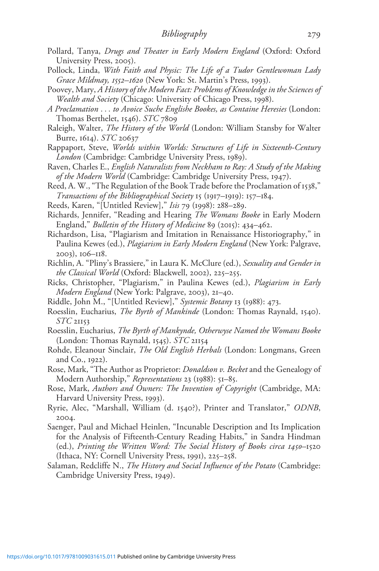- Pollard, Tanya, Drugs and Theater in Early Modern England (Oxford: Oxford University Press, 2005).
- Pollock, Linda, With Faith and Physic: The Life of a Tudor Gentlewoman Lady Grace Mildmay, 1552–1620 (New York: St. Martin's Press, 1993).
- Poovey, Mary, A History of the Modern Fact: Problems of Knowledge in the Sciences of Wealth and Society (Chicago: University of Chicago Press, 1998).
- A Proclamation ... to Avoice Suche Englishe Bookes, as Containe Heresies (London: Thomas Berthelet, 1546). STC 7809
- Raleigh, Walter, The History of the World (London: William Stansby for Walter Burre, 1614). STC 20637
- Rappaport, Steve, Worlds within Worlds: Structures of Life in Sixteenth-Century London (Cambridge: Cambridge University Press, 1989).
- Raven, Charles E., English Naturalists from Neckham to Ray: A Study of the Making of the Modern World (Cambridge: Cambridge University Press, 1947).
- Reed, A. W., "The Regulation of the Book Trade before the Proclamation of 1538," Transactions of the Bibliographical Society 15 (1917–1919): 157–184.
- Reeds, Karen, "[Untitled Review]," Isis 79 (1998): 288–289.
- Richards, Jennifer, "Reading and Hearing The Womans Booke in Early Modern England," Bulletin of the History of Medicine 89 (2015): 434–462.
- Richardson, Lisa, "Plagiarism and Imitation in Renaissance Historiography," in Paulina Kewes (ed.), Plagiarism in Early Modern England (New York: Palgrave, 2003), 106–118.
- Richlin, A. "Pliny's Brassiere," in Laura K. McClure (ed.), Sexuality and Gender in the Classical World (Oxford: Blackwell, 2002), 225–255.
- Ricks, Christopher, "Plagiarism," in Paulina Kewes (ed.), Plagiarism in Early Modern England (New York: Palgrave, 2003), 21–40.
- Riddle, John M., "[Untitled Review]," Systemic Botany 13 (1988): 473.
- Roesslin, Eucharius, The Byrth of Mankinde (London: Thomas Raynald, 1540).  $STC$  21153
- Roesslin, Eucharius, The Byrth of Mankynde, Otherwyse Named the Womans Booke (London: Thomas Raynald, 1545).  $STC$  21154
- Rohde, Eleanour Sinclair, The Old English Herbals (London: Longmans, Green and Co., 1922).
- Rose, Mark, "The Author as Proprietor: *Donaldson v. Becket* and the Genealogy of Modern Authorship," Representations 23 (1988): 51–85.
- Rose, Mark, Authors and Owners: The Invention of Copyright (Cambridge, MA: Harvard University Press, 1993).
- Ryrie, Alec, "Marshall, William (d. 1540?), Printer and Translator," ODNB, 2004.
- Saenger, Paul and Michael Heinlen, "Incunable Description and Its Implication for the Analysis of Fifteenth-Century Reading Habits," in Sandra Hindman (ed.), Printing the Written Word: The Social History of Books circa 1450–1520 (Ithaca, NY: Cornell University Press, 1991), 225–258.
- Salaman, Redcliffe N., The History and Social Influence of the Potato (Cambridge: Cambridge University Press, 1949).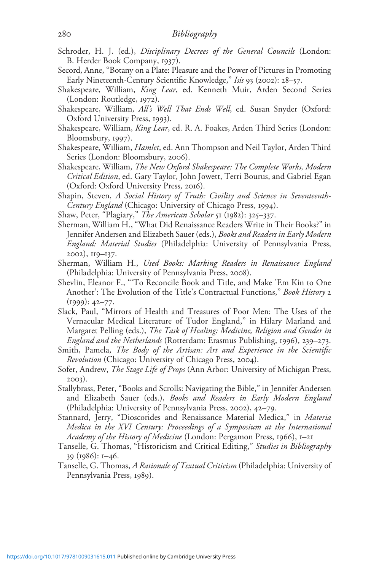- Schroder, H. J. (ed.), *Disciplinary Decrees of the General Councils* (London: B. Herder Book Company, 1937).
- Secord, Anne, "Botany on a Plate: Pleasure and the Power of Pictures in Promoting Early Nineteenth-Century Scientific Knowledge," Isis 93 (2002): 28-57.
- Shakespeare, William, King Lear, ed. Kenneth Muir, Arden Second Series (London: Routledge, 1972).
- Shakespeare, William, All's Well That Ends Well, ed. Susan Snyder (Oxford: Oxford University Press, 1993).
- Shakespeare, William, King Lear, ed. R. A. Foakes, Arden Third Series (London: Bloomsbury, 1997).
- Shakespeare, William, Hamlet, ed. Ann Thompson and Neil Taylor, Arden Third Series (London: Bloomsbury, 2006).
- Shakespeare, William, The New Oxford Shakespeare: The Complete Works, Modern Critical Edition, ed. Gary Taylor, John Jowett, Terri Bourus, and Gabriel Egan (Oxford: Oxford University Press, 2016).
- Shapin, Steven, A Social History of Truth: Civility and Science in Seventeenth-Century England (Chicago: University of Chicago Press, 1994).
- Shaw, Peter, "Plagiary," The American Scholar 51 (1982): 325–337.
- Sherman, William H., "What Did Renaissance Readers Write in Their Books?" in Jennifer Andersen and Elizabeth Sauer (eds.), Books and Readers in Early Modern England: Material Studies (Philadelphia: University of Pennsylvania Press, 2002), 119–137.
- Sherman, William H., Used Books: Marking Readers in Renaissance England (Philadelphia: University of Pennsylvania Press, 2008).
- Shevlin, Eleanor F., "'To Reconcile Book and Title, and Make 'Em Kin to One Another': The Evolution of the Title's Contractual Functions," Book History 2 (1999): 42–77.
- Slack, Paul, "Mirrors of Health and Treasures of Poor Men: The Uses of the Vernacular Medical Literature of Tudor England," in Hilary Marland and Margaret Pelling (eds.), The Task of Healing: Medicine, Religion and Gender in England and the Netherlands (Rotterdam: Erasmus Publishing, 1996), 239–273.
- Smith, Pamela, The Body of the Artisan: Art and Experience in the Scientific Revolution (Chicago: University of Chicago Press, 2004).
- Sofer, Andrew, The Stage Life of Props (Ann Arbor: University of Michigan Press, 2003).
- Stallybrass, Peter, "Books and Scrolls: Navigating the Bible," in Jennifer Andersen and Elizabeth Sauer (eds.), Books and Readers in Early Modern England (Philadelphia: University of Pennsylvania Press, 2002), 42–79.
- Stannard, Jerry, "Dioscorides and Renaissance Material Medica," in Materia Medica in the XVI Century: Proceedings of a Symposium at the International Academy of the History of Medicine (London: Pergamon Press, 1966), 1-21
- Tanselle, G. Thomas, "Historicism and Critical Editing," Studies in Bibliography 39 (1986): 1–46.
- Tanselle, G. Thomas, A Rationale of Textual Criticism (Philadelphia: University of Pennsylvania Press, 1989).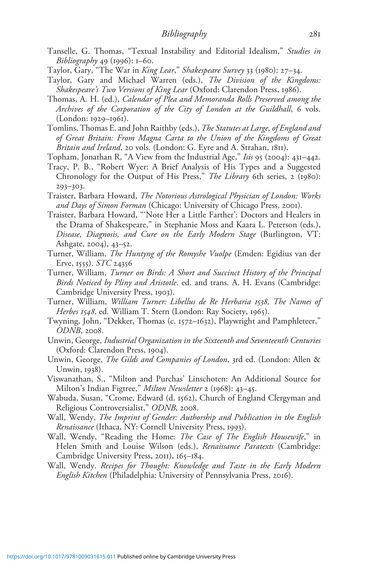- Tanselle, G. Thomas, "Textual Instability and Editorial Idealism," Studies in Bibliography 49 (1996): 1–60.
- Taylor, Gary, "The War in King Lear," Shakespeare Survey 33 (1980): 27–34.
- Taylor, Gary and Michael Warren (eds.), The Division of the Kingdoms: Shakespeare's Two Versions of King Lear (Oxford: Clarendon Press, 1986).
- Thomas, A. H. (ed.), Calendar of Plea and Memoranda Rolls Preserved among the Archives of the Corporation of the City of London at the Guildhall, 6 vols. (London: 1929–1961).
- Tomlins, Thomas E. and John Raithby (eds.), The Statutes at Large, of England and of Great Britain: From Magna Carta to the Union of the Kingdoms of Great Britain and Ireland, 20 vols. (London: G. Eyre and A. Strahan, 1811).
- Topham, Jonathan R, "A View from the Industrial Age," Isis 95 (2004): 431–442.
- Tracy, P. B., "Robert Wyer: A Brief Analysis of His Types and a Suggested Chronology for the Output of His Press," *The Library* 6th series, 2 (1980): 293–303.
- Traister, Barbara Howard, The Notorious Astrological Physician of London: Works and Days of Simon Forman (Chicago: University of Chicago Press, 2001).
- Traister, Barbara Howard, "'Note Her a Little Farther': Doctors and Healers in the Drama of Shakespeare," in Stephanie Moss and Kaara L. Peterson (eds.), Disease, Diagnosis, and Cure on the Early Modern Stage (Burlington, VT: Ashgate, 2004), 43–52.
- Turner, William, The Huntyng of the Romyshe Vuolpe (Emden: Egidius van der Erve, 1555). STC 24356
- Turner, William, Turner on Birds: A Short and Succinct History of the Principal Birds Noticed by Pliny and Aristotle. ed. and trans. A. H. Evans (Cambridge: Cambridge University Press, 1903).
- Turner, William, William Turner: Libellus de Re Herbaria 1538, The Names of Herbes 1548, ed. William T. Stern (London: Ray Society, 1965).
- Twyning, John, "Dekker, Thomas (c. 1572–1632), Playwright and Pamphleteer," ODNB, 2008.
- Unwin, George, Industrial Organization in the Sixteenth and Seventeenth Centuries (Oxford: Clarendon Press, 1904).
- Unwin, George, The Gilds and Companies of London, 3rd ed. (London: Allen & Unwin, 1938).
- Viswanathan, S., "Milton and Purchas' Linschoten: An Additional Source for Milton's Indian Figtree," Milton Newsletter 2 (1968): 43–45.
- Wabuda, Susan, "Crome, Edward (d. 1562), Church of England Clergyman and Religious Controversialist," ODNB, 2008.
- Wall, Wendy, The Imprint of Gender: Authorship and Publication in the English Renaissance (Ithaca, NY: Cornell University Press, 1993).
- Wall, Wendy, "Reading the Home: The Case of The English Housewife," in Helen Smith and Louise Wilson (eds.), Renaissance Paratexts (Cambridge: Cambridge University Press, 2011), 165–184.
- Wall, Wendy. Recipes for Thought: Knowledge and Taste in the Early Modern English Kitchen (Philadelphia: University of Pennsylvania Press, 2016).